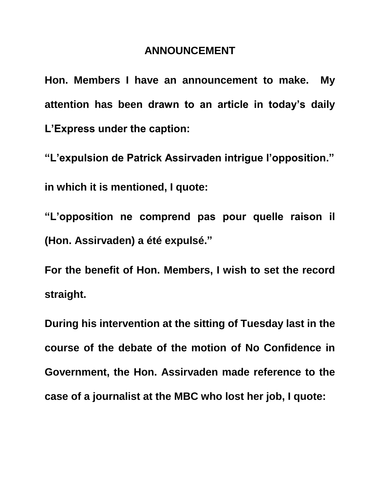## **ANNOUNCEMENT**

**Hon. Members I have an announcement to make. My attention has been drawn to an article in today's daily L'Express under the caption:**

**"L'expulsion de Patrick Assirvaden intrigue l'opposition."**

**in which it is mentioned, I quote:**

**"L'opposition ne comprend pas pour quelle raison il (Hon. Assirvaden) a été expulsé."**

**For the benefit of Hon. Members, I wish to set the record straight.**

**During his intervention at the sitting of Tuesday last in the course of the debate of the motion of No Confidence in Government, the Hon. Assirvaden made reference to the case of a journalist at the MBC who lost her job, I quote:**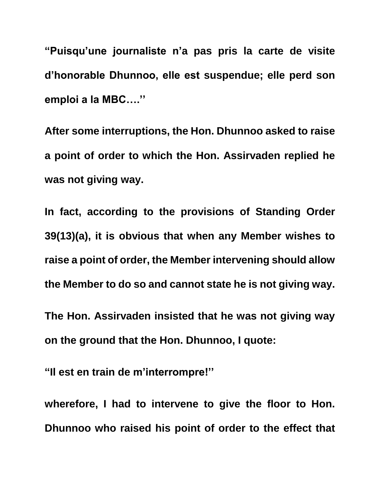**"Puisqu'une journaliste n'a pas pris la carte de visite d'honorable Dhunnoo, elle est suspendue; elle perd son emploi a la MBC….''**

**After some interruptions, the Hon. Dhunnoo asked to raise a point of order to which the Hon. Assirvaden replied he was not giving way.**

**In fact, according to the provisions of Standing Order 39(13)(a), it is obvious that when any Member wishes to raise a point of order, the Member intervening should allow the Member to do so and cannot state he is not giving way.**

**The Hon. Assirvaden insisted that he was not giving way on the ground that the Hon. Dhunnoo, I quote:**

**"Il est en train de m'interrompre!''**

**wherefore, I had to intervene to give the floor to Hon. Dhunnoo who raised his point of order to the effect that**